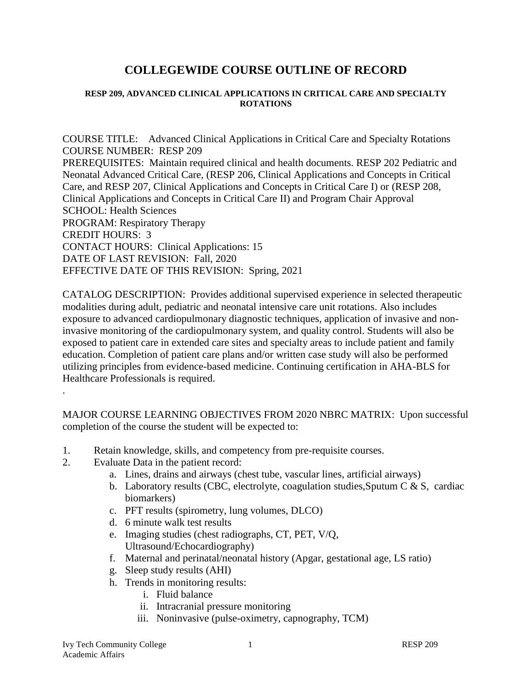# **COLLEGEWIDE COURSE OUTLINE OF RECORD**

#### **RESP 209, ADVANCED CLINICAL APPLICATIONS IN CRITICAL CARE AND SPECIALTY ROTATIONS**

COURSE TITLE: Advanced Clinical Applications in Critical Care and Specialty Rotations COURSE NUMBER: RESP 209 PREREQUISITES: Maintain required clinical and health documents. RESP 202 Pediatric and Neonatal Advanced Critical Care, (RESP 206, Clinical Applications and Concepts in Critical Care, and RESP 207, Clinical Applications and Concepts in Critical Care I) or (RESP 208, Clinical Applications and Concepts in Critical Care II) and Program Chair Approval SCHOOL: Health Sciences PROGRAM: Respiratory Therapy CREDIT HOURS: 3 CONTACT HOURS: Clinical Applications: 15 DATE OF LAST REVISION: Fall, 2020 EFFECTIVE DATE OF THIS REVISION: Spring, 2021

CATALOG DESCRIPTION: Provides additional supervised experience in selected therapeutic modalities during adult, pediatric and neonatal intensive care unit rotations. Also includes exposure to advanced cardiopulmonary diagnostic techniques, application of invasive and noninvasive monitoring of the cardiopulmonary system, and quality control. Students will also be exposed to patient care in extended care sites and specialty areas to include patient and family education. Completion of patient care plans and/or written case study will also be performed utilizing principles from evidence-based medicine. Continuing certification in AHA-BLS for Healthcare Professionals is required.

MAJOR COURSE LEARNING OBJECTIVES FROM 2020 NBRC MATRIX: Upon successful completion of the course the student will be expected to:

- 1. Retain knowledge, skills, and competency from pre-requisite courses.
- 2. Evaluate Data in the patient record:

.

- a. Lines, drains and airways (chest tube, vascular lines, artificial airways)
- b. Laboratory results (CBC, electrolyte, coagulation studies, Sputum C  $& S$ , cardiac biomarkers)
- c. PFT results (spirometry, lung volumes, DLCO)
- d. 6 minute walk test results
- e. Imaging studies (chest radiographs, CT, PET, V/Q, Ultrasound/Echocardiography)
- f. Maternal and perinatal/neonatal history (Apgar, gestational age, LS ratio)
- g. Sleep study results (AHI)
- h. Trends in monitoring results:
	- i. Fluid balance
	- ii. Intracranial pressure monitoring
	- iii. Noninvasive (pulse-oximetry, capnography, TCM)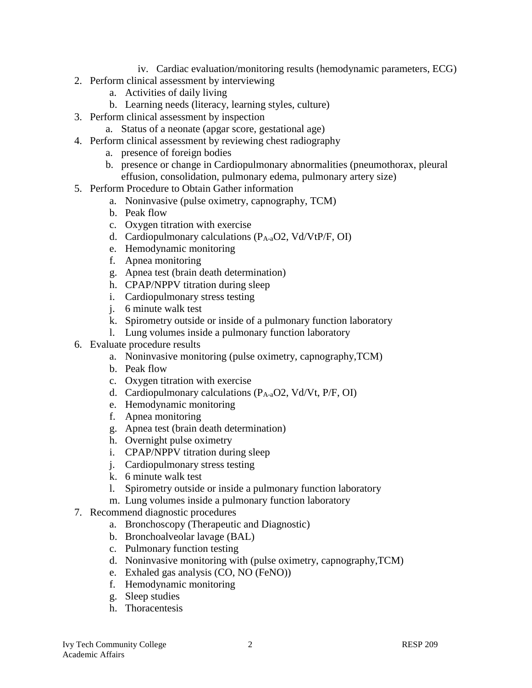- iv. Cardiac evaluation/monitoring results (hemodynamic parameters, ECG)
- 2. Perform clinical assessment by interviewing
	- a. Activities of daily living
	- b. Learning needs (literacy, learning styles, culture)
- 3. Perform clinical assessment by inspection
	- a. Status of a neonate (apgar score, gestational age)
- 4. Perform clinical assessment by reviewing chest radiography
	- a. presence of foreign bodies
	- b. presence or change in Cardiopulmonary abnormalities (pneumothorax, pleural effusion, consolidation, pulmonary edema, pulmonary artery size)
- 5. Perform Procedure to Obtain Gather information
	- a. Noninvasive (pulse oximetry, capnography, TCM)
	- b. Peak flow
	- c. Oxygen titration with exercise
	- d. Cardiopulmonary calculations (PA-aO2, Vd/VtP/F, OI)
	- e. Hemodynamic monitoring
	- f. Apnea monitoring
	- g. Apnea test (brain death determination)
	- h. CPAP/NPPV titration during sleep
	- i. Cardiopulmonary stress testing
	- j. 6 minute walk test
	- k. Spirometry outside or inside of a pulmonary function laboratory
	- l. Lung volumes inside a pulmonary function laboratory
- 6. Evaluate procedure results
	- a. Noninvasive monitoring (pulse oximetry, capnography,TCM)
	- b. Peak flow
	- c. Oxygen titration with exercise
	- d. Cardiopulmonary calculations  $(P_{A-a}O2, Vd/Vt, P/F, O I)$
	- e. Hemodynamic monitoring
	- f. Apnea monitoring
	- g. Apnea test (brain death determination)
	- h. Overnight pulse oximetry
	- i. CPAP/NPPV titration during sleep
	- j. Cardiopulmonary stress testing
	- k. 6 minute walk test
	- l. Spirometry outside or inside a pulmonary function laboratory
	- m. Lung volumes inside a pulmonary function laboratory
- 7. Recommend diagnostic procedures
	- a. Bronchoscopy (Therapeutic and Diagnostic)
	- b. Bronchoalveolar lavage (BAL)
	- c. Pulmonary function testing
	- d. Noninvasive monitoring with (pulse oximetry, capnography,TCM)
	- e. Exhaled gas analysis (CO, NO (FeNO))
	- f. Hemodynamic monitoring
	- g. Sleep studies
	- h. Thoracentesis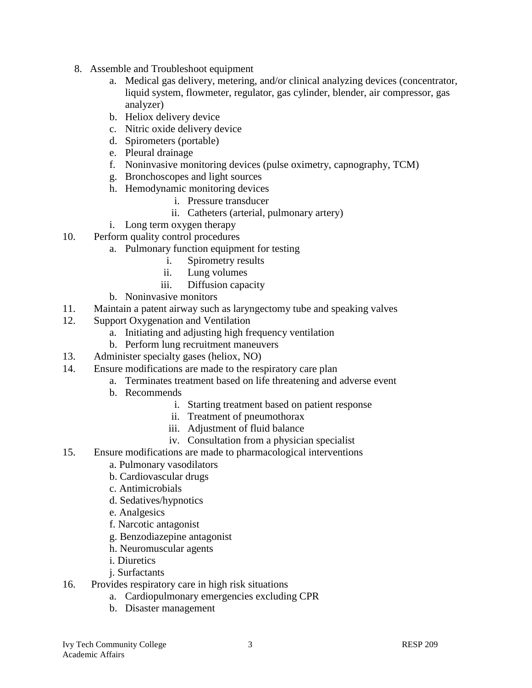- 8. Assemble and Troubleshoot equipment
	- a. Medical gas delivery, metering, and/or clinical analyzing devices (concentrator, liquid system, flowmeter, regulator, gas cylinder, blender, air compressor, gas analyzer)
	- b. Heliox delivery device
	- c. Nitric oxide delivery device
	- d. Spirometers (portable)
	- e. Pleural drainage
	- f. Noninvasive monitoring devices (pulse oximetry, capnography, TCM)
	- g. Bronchoscopes and light sources
	- h. Hemodynamic monitoring devices
		- i. Pressure transducer
		- ii. Catheters (arterial, pulmonary artery)
	- i. Long term oxygen therapy
- 10. Perform quality control procedures
	- a. Pulmonary function equipment for testing
		- i. Spirometry results
		- ii. Lung volumes
		- iii. Diffusion capacity
	- b. Noninvasive monitors
- 11. Maintain a patent airway such as laryngectomy tube and speaking valves
- 12. Support Oxygenation and Ventilation
	- a. Initiating and adjusting high frequency ventilation
	- b. Perform lung recruitment maneuvers
- 13. Administer specialty gases (heliox, NO)
- 14. Ensure modifications are made to the respiratory care plan
	- a. Terminates treatment based on life threatening and adverse event
	- b. Recommends
		- i. Starting treatment based on patient response
		- ii. Treatment of pneumothorax
		- iii. Adjustment of fluid balance
		- iv. Consultation from a physician specialist
- 15. Ensure modifications are made to pharmacological interventions
	- a. Pulmonary vasodilators
	- b. Cardiovascular drugs
	- c. Antimicrobials
	- d. Sedatives/hypnotics
	- e. Analgesics
	- f. Narcotic antagonist
	- g. Benzodiazepine antagonist
	- h. Neuromuscular agents
	- i. Diuretics
	- j. Surfactants
- 16. Provides respiratory care in high risk situations
	- a. Cardiopulmonary emergencies excluding CPR
	- b. Disaster management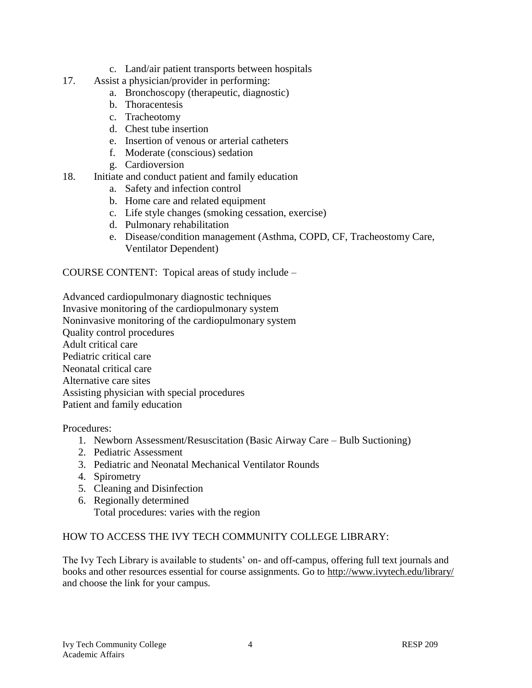- c. Land/air patient transports between hospitals
- 17. Assist a physician/provider in performing:
	- a. Bronchoscopy (therapeutic, diagnostic)
	- b. Thoracentesis
	- c. Tracheotomy
	- d. Chest tube insertion
	- e. Insertion of venous or arterial catheters
	- f. Moderate (conscious) sedation
	- g. Cardioversion
- 18. Initiate and conduct patient and family education
	- a. Safety and infection control
	- b. Home care and related equipment
	- c. Life style changes (smoking cessation, exercise)
	- d. Pulmonary rehabilitation
	- e. Disease/condition management (Asthma, COPD, CF, Tracheostomy Care, Ventilator Dependent)

COURSE CONTENT: Topical areas of study include –

Advanced cardiopulmonary diagnostic techniques Invasive monitoring of the cardiopulmonary system Noninvasive monitoring of the cardiopulmonary system Quality control procedures Adult critical care Pediatric critical care Neonatal critical care Alternative care sites Assisting physician with special procedures Patient and family education

Procedures:

- 1. Newborn Assessment/Resuscitation (Basic Airway Care Bulb Suctioning)
- 2. Pediatric Assessment
- 3. Pediatric and Neonatal Mechanical Ventilator Rounds
- 4. Spirometry
- 5. Cleaning and Disinfection
- 6. Regionally determined Total procedures: varies with the region

# HOW TO ACCESS THE IVY TECH COMMUNITY COLLEGE LIBRARY:

The Ivy Tech Library is available to students' on- and off-campus, offering full text journals and books and other resources essential for course assignments. Go to<http://www.ivytech.edu/library/> and choose the link for your campus.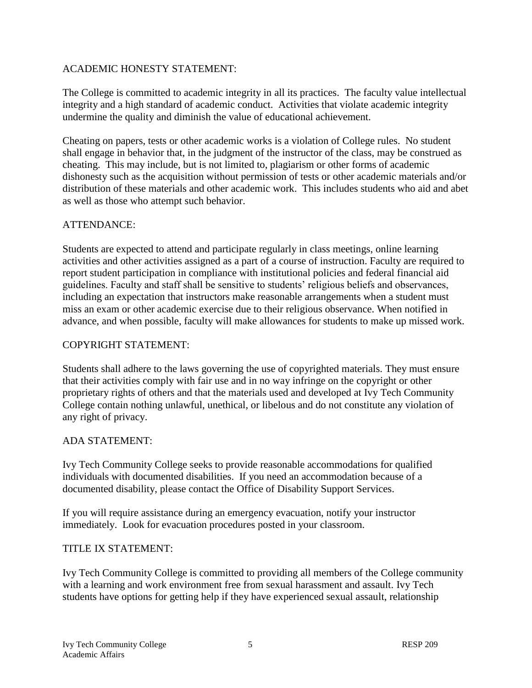# ACADEMIC HONESTY STATEMENT:

The College is committed to academic integrity in all its practices. The faculty value intellectual integrity and a high standard of academic conduct. Activities that violate academic integrity undermine the quality and diminish the value of educational achievement.

Cheating on papers, tests or other academic works is a violation of College rules. No student shall engage in behavior that, in the judgment of the instructor of the class, may be construed as cheating. This may include, but is not limited to, plagiarism or other forms of academic dishonesty such as the acquisition without permission of tests or other academic materials and/or distribution of these materials and other academic work. This includes students who aid and abet as well as those who attempt such behavior.

# ATTENDANCE:

Students are expected to attend and participate regularly in class meetings, online learning activities and other activities assigned as a part of a course of instruction. Faculty are required to report student participation in compliance with institutional policies and federal financial aid guidelines. Faculty and staff shall be sensitive to students' religious beliefs and observances, including an expectation that instructors make reasonable arrangements when a student must miss an exam or other academic exercise due to their religious observance. When notified in advance, and when possible, faculty will make allowances for students to make up missed work.

# COPYRIGHT STATEMENT:

Students shall adhere to the laws governing the use of copyrighted materials. They must ensure that their activities comply with fair use and in no way infringe on the copyright or other proprietary rights of others and that the materials used and developed at Ivy Tech Community College contain nothing unlawful, unethical, or libelous and do not constitute any violation of any right of privacy.

# ADA STATEMENT:

Ivy Tech Community College seeks to provide reasonable accommodations for qualified individuals with documented disabilities. If you need an accommodation because of a documented disability, please contact the Office of Disability Support Services.

If you will require assistance during an emergency evacuation, notify your instructor immediately. Look for evacuation procedures posted in your classroom.

# TITLE IX STATEMENT:

Ivy Tech Community College is committed to providing all members of the College community with a learning and work environment free from sexual harassment and assault. Ivy Tech students have options for getting help if they have experienced sexual assault, relationship